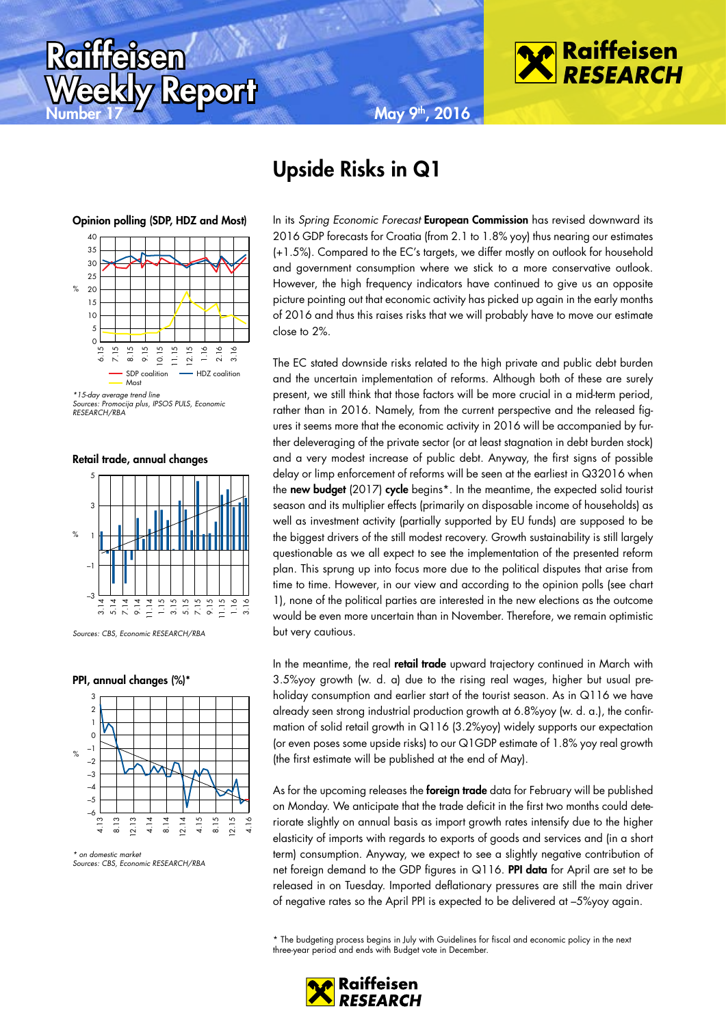





Report

**Raif<u>fei</u>sen** 



Sources: Promocija plus, IPSOS PULS, Economic RESEARCH/RBA

Retail trade, annual changes



Sources: CBS, Economic RESEARCH/RBA

### PPI, annual changes (%)\*



<sup>\*</sup> on domestic market Sources: CBS, Economic RESEARCH/RBA

# Upside Risks in Q1

In its Spring Economic Forecast European Commission has revised downward its 2016 GDP forecasts for Croatia (from 2.1 to 1.8% yoy) thus nearing our estimates (+1.5%). Compared to the EC's targets, we differ mostly on outlook for household and government consumption where we stick to a more conservative outlook. However, the high frequency indicators have continued to give us an opposite picture pointing out that economic activity has picked up again in the early months of 2016 and thus this raises risks that we will probably have to move our estimate close to 2%.

The EC stated downside risks related to the high private and public debt burden and the uncertain implementation of reforms. Although both of these are surely present, we still think that those factors will be more crucial in a mid-term period, rather than in 2016. Namely, from the current perspective and the released figures it seems more that the economic activity in 2016 will be accompanied by further deleveraging of the private sector (or at least stagnation in debt burden stock) and a very modest increase of public debt. Anyway, the first signs of possible delay or limp enforcement of reforms will be seen at the earliest in Q32016 when the new budget (2017) cycle begins<sup>\*</sup>. In the meantime, the expected solid tourist season and its multiplier effects (primarily on disposable income of households) as well as investment activity (partially supported by EU funds) are supposed to be the biggest drivers of the still modest recovery. Growth sustainability is still largely questionable as we all expect to see the implementation of the presented reform plan. This sprung up into focus more due to the political disputes that arise from time to time. However, in our view and according to the opinion polls (see chart 1), none of the political parties are interested in the new elections as the outcome would be even more uncertain than in November. Therefore, we remain optimistic but very cautious.

In the meantime, the real **retail trade** upward trajectory continued in March with 3.5%yoy growth (w. d. a) due to the rising real wages, higher but usual preholiday consumption and earlier start of the tourist season. As in Q116 we have already seen strong industrial production growth at 6.8%yoy (w. d. a.), the confirmation of solid retail growth in Q116 (3.2%yoy) widely supports our expectation (or even poses some upside risks) to our Q1GDP estimate of 1.8% yoy real growth (the first estimate will be published at the end of May).

As for the upcoming releases the **foreign trade** data for February will be published on Monday. We anticipate that the trade deficit in the first two months could deteriorate slightly on annual basis as import growth rates intensify due to the higher elasticity of imports with regards to exports of goods and services and (in a short term) consumption. Anyway, we expect to see a slightly negative contribution of net foreign demand to the GDP figures in Q116. PPI data for April are set to be released in on Tuesday. Imported deflationary pressures are still the main driver of negative rates so the April PPI is expected to be delivered at –5%yoy again.

\* The budgeting process begins in July with Guidelines for fiscal and economic policy in the next three-year period and ends with Budget vote in December.

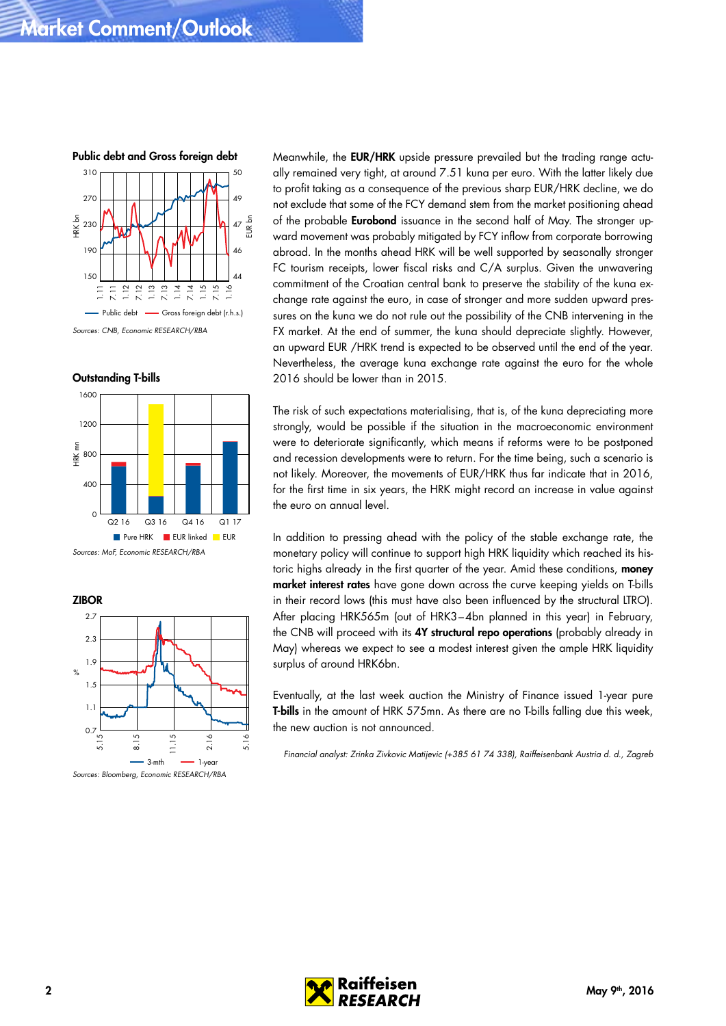Public debt and Gross foreign debt 50 310



Outstanding T-bills



**ZIBOR**  $\frac{1}{\sqrt{2}}$  $3-mth$   $\longrightarrow$  1-year  $0.7\frac{L}{2}$ 1.1 1.5 1.9 2.3 2.7 .<br>ما 8.15 11.15 2.16  $\leq$ Sources: Bloomberg, Economic RESEARCH/RBA

Meanwhile, the **EUR/HRK** upside pressure prevailed but the trading range actually remained very tight, at around 7.51 kuna per euro. With the latter likely due to profit taking as a consequence of the previous sharp EUR/HRK decline, we do not exclude that some of the FCY demand stem from the market positioning ahead of the probable **Eurobond** issuance in the second half of May. The stronger upward movement was probably mitigated by FCY inflow from corporate borrowing abroad. In the months ahead HRK will be well supported by seasonally stronger FC tourism receipts, lower fiscal risks and C/A surplus. Given the unwavering commitment of the Croatian central bank to preserve the stability of the kuna exchange rate against the euro, in case of stronger and more sudden upward pressures on the kuna we do not rule out the possibility of the CNB intervening in the FX market. At the end of summer, the kuna should depreciate slightly. However, an upward EUR /HRK trend is expected to be observed until the end of the year. Nevertheless, the average kuna exchange rate against the euro for the whole 2016 should be lower than in 2015.

The risk of such expectations materialising, that is, of the kuna depreciating more strongly, would be possible if the situation in the macroeconomic environment were to deteriorate significantly, which means if reforms were to be postponed and recession developments were to return. For the time being, such a scenario is not likely. Moreover, the movements of EUR/HRK thus far indicate that in 2016, for the first time in six years, the HRK might record an increase in value against the euro on annual level.

In addition to pressing ahead with the policy of the stable exchange rate, the monetary policy will continue to support high HRK liquidity which reached its historic highs already in the first quarter of the year. Amid these conditions, money market interest rates have gone down across the curve keeping yields on T-bills in their record lows (this must have also been influenced by the structural LTRO). After placing HRK565m (out of HRK3–4bn planned in this year) in February, the CNB will proceed with its 4Y structural repo operations (probably already in May) whereas we expect to see a modest interest given the ample HRK liquidity surplus of around HRK6bn.

Eventually, at the last week auction the Ministry of Finance issued 1-year pure T-bills in the amount of HRK 575mn. As there are no T-bills falling due this week, the new auction is not announced.

Financial analyst: Zrinka Zivkovic Matijevic (+385 61 74 338), Raiffeisenbank Austria d. d., Zagreb

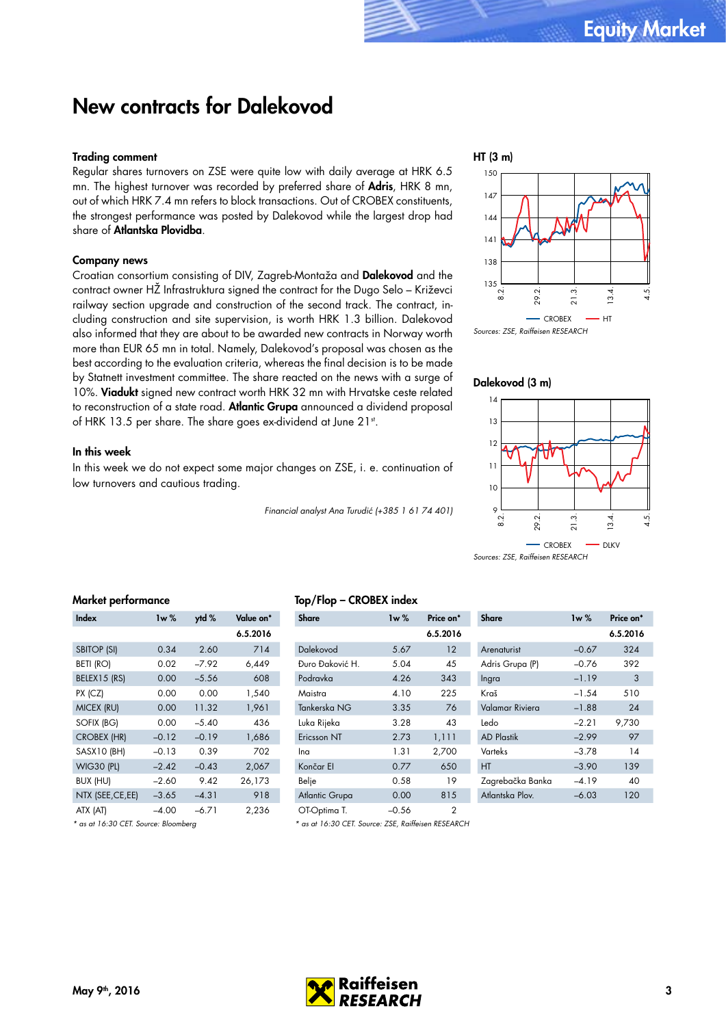## New contracts for Dalekovod

### Trading comment

Regular shares turnovers on ZSE were quite low with daily average at HRK 6.5 mn. The highest turnover was recorded by preferred share of Adris, HRK 8 mn, out of which HRK 7.4 mn refers to block transactions. Out of CROBEX constituents, the strongest performance was posted by Dalekovod while the largest drop had share of Atlantska Plovidba.

### Company news

Croatian consortium consisting of DIV, Zagreb-Montaža and Dalekovod and the contract owner HŽ Infrastruktura signed the contract for the Dugo Selo – Križevci railway section upgrade and construction of the second track. The contract, including construction and site supervision, is worth HRK 1.3 billion. Dalekovod also informed that they are about to be awarded new contracts in Norway worth more than EUR 65 mn in total. Namely, Dalekovod's proposal was chosen as the best according to the evaluation criteria, whereas the final decision is to be made by Statnett investment committee. The share reacted on the news with a surge of 10%. Viadukt signed new contract worth HRK 32 mn with Hrvatske ceste related to reconstruction of a state road. Atlantic Grupa announced a dividend proposal of HRK 13.5 per share. The share goes ex-dividend at June 21st.

### In this week

In this week we do not expect some major changes on ZSE, i. e. continuation of low turnovers and cautious trading.

Financial analyst Ana Turudić (+385 1 61 74 401)



Sources: ZSE, Raiffeisen RESEARCH

### Dalekovod (3 m)



Sources: ZSE, Raiffeisen RESEARCH

## Market performance

| Index              | lw $\%$ | ytd %   | Value on* |  |
|--------------------|---------|---------|-----------|--|
|                    |         |         | 6.5.2016  |  |
| <b>SBITOP (SI)</b> | 0.34    | 2.60    | 714       |  |
| <b>BETI (RO)</b>   | 0.02    | $-7.92$ | 6,449     |  |
| BELEX15 (RS)       | 0.00    | $-5.56$ | 608       |  |
| $PX$ (CZ)          | 0.00    | 0.00    | 1,540     |  |
| MICEX (RU)         | 0.00    | 11.32   | 1,961     |  |
| SOFIX (BG)         | 0.00    | $-5.40$ | 436       |  |
| <b>CROBEX (HR)</b> | $-0.12$ | $-0.19$ | 1,686     |  |
| SASX10 (BH)        | $-0.13$ | 0.39    | 702       |  |
| <b>WIG30 (PL)</b>  | $-2.42$ | $-0.43$ | 2,067     |  |
| BUX (HU)           | $-2.60$ | 9.42    | 26,173    |  |
| NTX (SEE, CE, EE)  | $-3.65$ | $-4.31$ | 918       |  |
| ATX (AT)           | $-4.00$ | -6.71   | 2.236     |  |

\* as at 16:30 CET. Source: Bloomberg

## Top/Flop – CROBEX index

| <b>Share</b>    | $1w \%$ | Price on* | <b>Share</b>      | 1w%     | Price on <sup>*</sup> |
|-----------------|---------|-----------|-------------------|---------|-----------------------|
|                 |         | 6.5.2016  |                   |         | 6.5.2016              |
| Dalekovod       | 5.67    | 12        | Arenaturist       | $-0.67$ | 324                   |
| Đuro Đaković H. | 5.04    | 45        | Adris Grupa (P)   | $-0.76$ | 392                   |
| Podravka        | 4.26    | 343       | Ingra             | $-1.19$ | 3                     |
| Maistra         | 4.10    | 225       | Kraš              | $-1.54$ | 510                   |
| Tankerska NG    | 3.35    | 76        | Valamar Riviera   | $-1.88$ | 24                    |
| Luka Rijeka     | 3.28    | 43        | Ledo              | $-2.21$ | 9,730                 |
| Ericsson NT     | 2.73    | 1,111     | <b>AD Plastik</b> | $-2.99$ | 97                    |
| Ina             | 1.31    | 2,700     | Varteks           | $-3.78$ | 14                    |
| Končar El       | 0.77    | 650       | HT                | $-3.90$ | 139                   |
| Belje           | 0.58    | 19        | Zagrebačka Banka  | $-4.19$ | 40                    |
| Atlantic Grupa  | 0.00    | 815       | Atlantska Plov.   | $-6.03$ | 120                   |
| OT-Ontima T     | -0.56   | 2         |                   |         |                       |

\* as at 16:30 CET. Source: ZSE, Raiffeisen RESEARCH



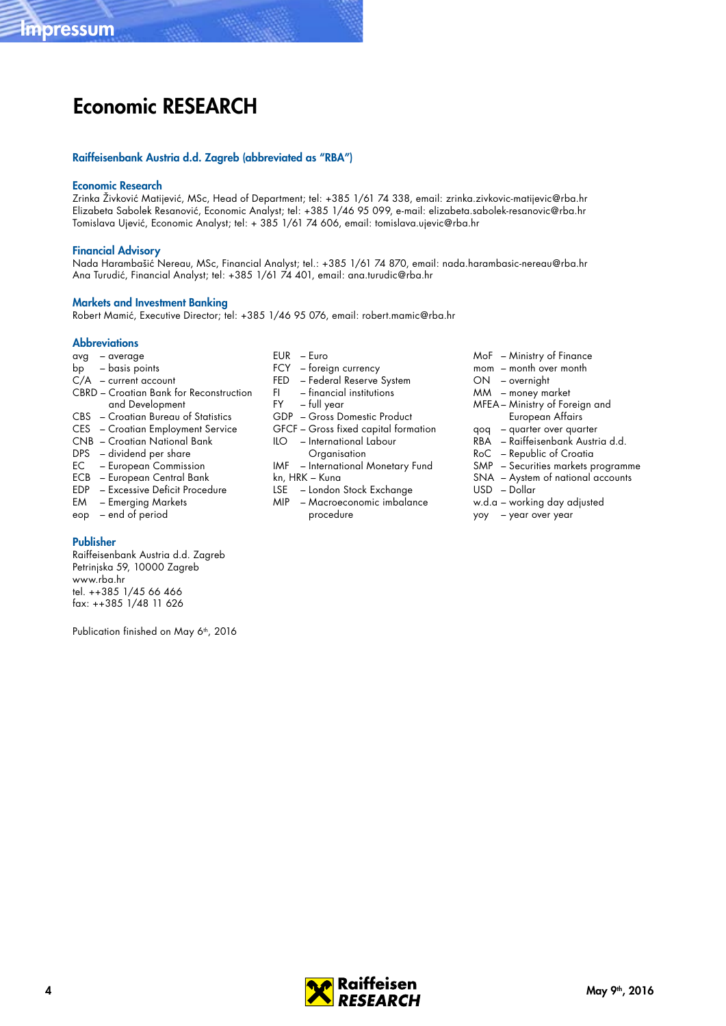# Economic RESEARCH

### Raiffeisenbank Austria d.d. Zagreb (abbreviated as "RBA")

### Economic Research

Zrinka Živković Matijević, MSc, Head of Department; tel: +385 1/61 74 338, email: zrinka.zivkovic-matijevic@rba.hr Elizabeta Sabolek Resanović, Economic Analyst; tel: +385 1/46 95 099, e-mail: elizabeta.sabolek-resanovic@rba.hr Tomislava Ujević, Economic Analyst; tel: + 385 1/61 74 606, email: tomislava.ujevic@rba.hr

### Financial Advisory

Nada Harambašić Nereau, MSc, Financial Analyst; tel.: +385 1/61 74 870, email: nada.harambasic-nereau@rba.hr Ana Turudić, Financial Analyst; tel: +385 1/61 74 401, email: ana.turudic@rba.hr

### Markets and Investment Banking

Robert Mamić, Executive Director; tel: +385 1/46 95 076, email: robert.mamic@rba.hr

### **Abbreviations**

- avg average
- bp basis points
- $C/A$  current account
- CBRD Croatian Bank for Reconstruction and Development
- CBS Croatian Bureau of Statistics
- CES Croatian Employment Service
- CNB Croatian National Bank
- DPS dividend per share
- EC European Commission
- ECB European Central Bank
- EDP Excessive Deficit Procedure
- EM Emerging Markets
- eop end of period

### Publisher

Raiffeisenbank Austria d.d. Zagreb Petrinjska 59, 10000 Zagreb www.rba.hr tel. ++385 1/45 66 466 fax: ++385 1/48 11 626

Publication finished on May 6<sup>th</sup>, 2016

- FCY foreign currency
- FED Federal Reserve System
- FI financial institutions<br>FY full vear
- full year
- GDP Gross Domestic Product
- GFCF Gross fixed capital formation ILO – International Labour
	- **Organisation**
- IMF International Monetary Fund kn, HRK – Kuna
- LSE London Stock Exchange
- MIP Macroeconomic imbalance procedure
- MoF Ministry of Finance
- mom month over month
- ON overnight
- MM money market
- MFEA– Ministry of Foreign and European Affairs
- qoq quarter over quarter
- RBA Raiffeisenbank Austria d.d.
- RoC Republic of Croatia
- SMP Securities markets programme
- SNA Aystem of national accounts
- USD Dollar
- w.d.a working day adjusted
- yoy year over year



- EUR Euro
-